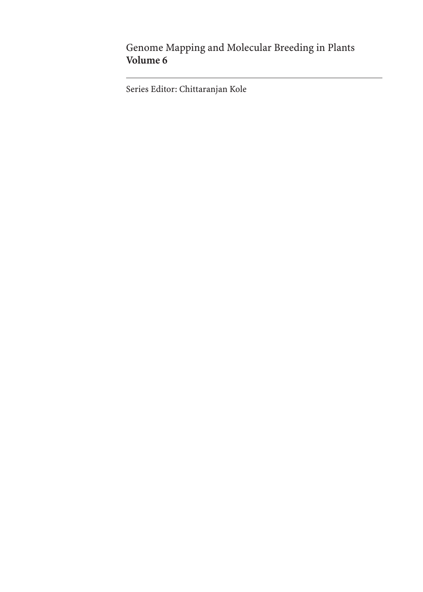Genome Mapping and Molecular Breeding in Plants **Volume 6**

Series Editor: Chittaranjan Kole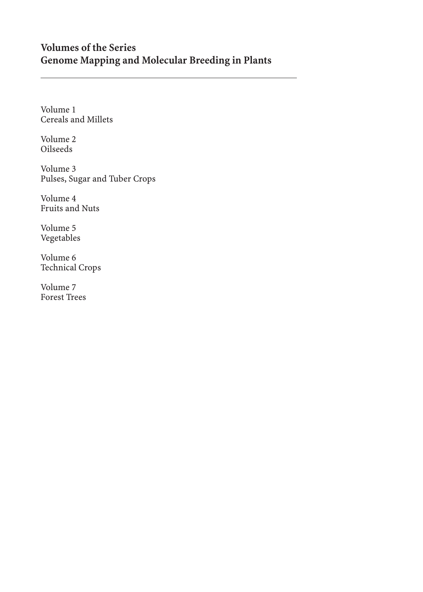# **Volumes of the Series Genome Mapping and Molecular Breeding in Plants**

Volume 1 Cereals and Millets

Volume 2 Oilseeds

Volume 3 Pulses, Sugar and Tuber Crops

Volume 4 Fruits and Nuts

Volume 5 Vegetables

Volume 6 Technical Crops

Volume 7 Forest Trees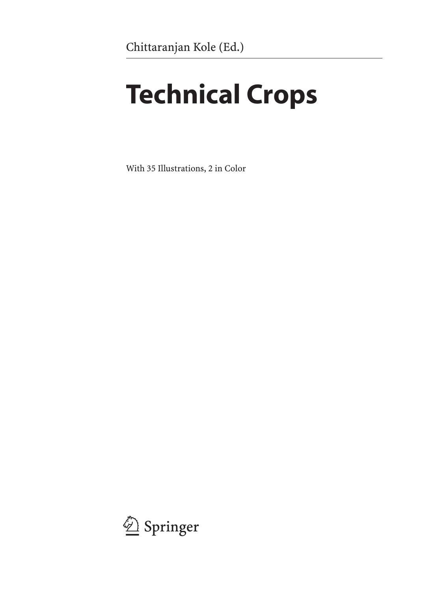# **Technical Crops**

With 35 Illustrations, 2 in Color

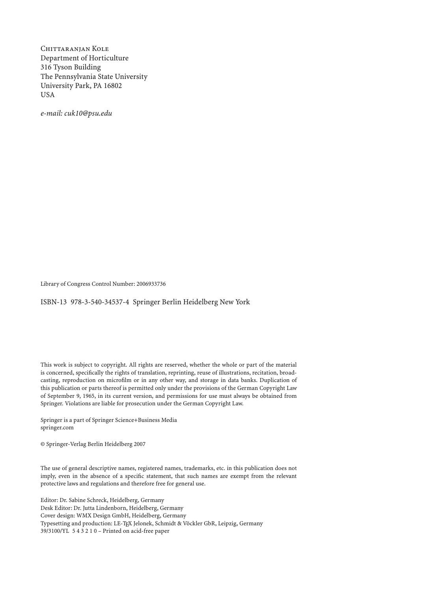Chittaranjan Kole Department of Horticulture 316 Tyson Building The Pennsylvania State University University Park, PA 16802 USA

*e-mail: cuk10@psu.edu*

Library of Congress Control Number: 2006933736

ISBN-13 978-3-540-34537-4 Springer Berlin Heidelberg New York

This work is subject to copyright. All rights are reserved, whether the whole or part of the material is concerned, specifically the rights of translation, reprinting, reuse of illustrations, recitation, broadcasting, reproduction on microfilm or in any other way, and storage in data banks. Duplication of this publication or parts thereof is permitted only under the provisions of the German Copyright Law of September 9, 1965, in its current version, and permissions for use must always be obtained from Springer. Violations are liable for prosecution under the German Copyright Law.

Springer is a part of Springer Science+Business Media springer.com

© Springer-Verlag Berlin Heidelberg 2007

The use of general descriptive names, registered names, trademarks, etc. in this publication does not imply, even in the absence of a specific statement, that such names are exempt from the relevant protective laws and regulations and therefore free for general use.

Editor: Dr. Sabine Schreck, Heidelberg, Germany Desk Editor: Dr. Jutta Lindenborn, Heidelberg, Germany Cover design: WMX Design GmbH, Heidelberg, Germany Typesetting and production: LE-TEX Jelonek, Schmidt & Vöckler GbR, Leipzig, Germany 39/3100/YL 5 4 3 2 1 0 – Printed on acid-free paper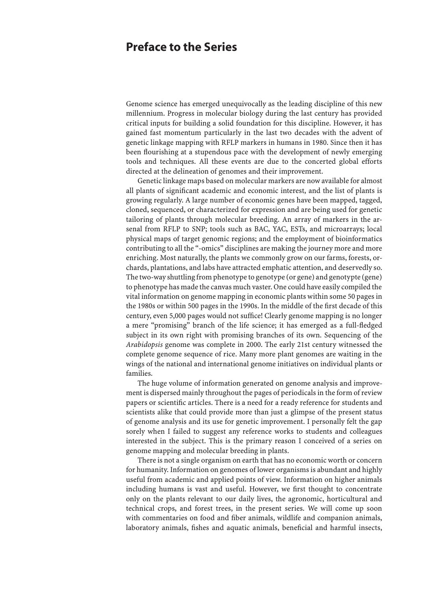## **Preface to the Series**

Genome science has emerged unequivocally as the leading discipline of this new millennium. Progress in molecular biology during the last century has provided critical inputs for building a solid foundation for this discipline. However, it has gained fast momentum particularly in the last two decades with the advent of genetic linkage mapping with RFLP markers in humans in 1980. Since then it has been flourishing at a stupendous pace with the development of newly emerging tools and techniques. All these events are due to the concerted global efforts directed at the delineation of genomes and their improvement.

Genetic linkage maps based on molecular markers are now available for almost all plants of significant academic and economic interest, and the list of plants is growing regularly. A large number of economic genes have been mapped, tagged, cloned, sequenced, or characterized for expression and are being used for genetic tailoring of plants through molecular breeding. An array of markers in the arsenal from RFLP to SNP; tools such as BAC, YAC, ESTs, and microarrays; local physical maps of target genomic regions; and the employment of bioinformatics contributing to all the "-omics" disciplines are making the journey more and more enriching. Most naturally, the plants we commonly grow on our farms, forests, orchards, plantations, and labs have attracted emphatic attention, and deservedly so. The two-way shuttling from phenotype to genotype (or gene) and genotypte (gene) to phenotype has made the canvas much vaster. One could have easily compiled the vital information on genome mapping in economic plants within some 50 pages in the 1980s or within 500 pages in the 1990s. In the middle of the first decade of this century, even 5,000 pages would not suffice! Clearly genome mapping is no longer a mere "promising" branch of the life science; it has emerged as a full-fledged subject in its own right with promising branches of its own. Sequencing of the *Arabidopsis* genome was complete in 2000. The early 21st century witnessed the complete genome sequence of rice. Many more plant genomes are waiting in the wings of the national and international genome initiatives on individual plants or families.

The huge volume of information generated on genome analysis and improvement is dispersed mainly throughout the pages of periodicals in the form of review papers or scientific articles. There is a need for a ready reference for students and scientists alike that could provide more than just a glimpse of the present status of genome analysis and its use for genetic improvement. I personally felt the gap sorely when I failed to suggest any reference works to students and colleagues interested in the subject. This is the primary reason I conceived of a series on genome mapping and molecular breeding in plants.

There is not a single organism on earth that has no economic worth or concern for humanity. Information on genomes of lower organisms is abundant and highly useful from academic and applied points of view. Information on higher animals including humans is vast and useful. However, we first thought to concentrate only on the plants relevant to our daily lives, the agronomic, horticultural and technical crops, and forest trees, in the present series. We will come up soon with commentaries on food and fiber animals, wildlife and companion animals, laboratory animals, fishes and aquatic animals, beneficial and harmful insects,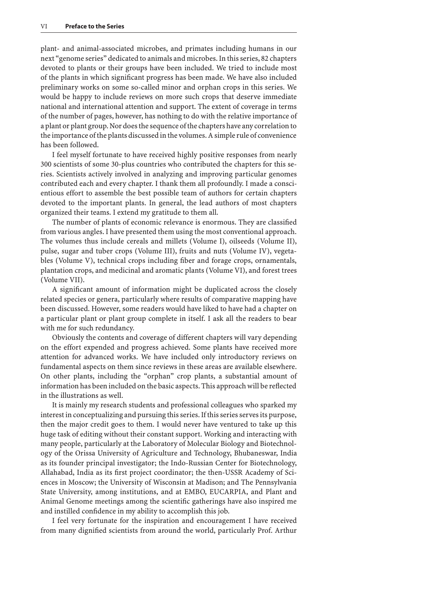plant- and animal-associated microbes, and primates including humans in our next "genome series" dedicated to animals and microbes. In this series, 82 chapters devoted to plants or their groups have been included. We tried to include most of the plants in which significant progress has been made. We have also included preliminary works on some so-called minor and orphan crops in this series. We would be happy to include reviews on more such crops that deserve immediate national and international attention and support. The extent of coverage in terms of the number of pages, however, has nothing to do with the relative importance of a plant or plant group. Nor does the sequence of the chapters have any correlation to the importance of the plants discussed in the volumes. A simple rule of convenience has been followed.

I feel myself fortunate to have received highly positive responses from nearly 300 scientists of some 30-plus countries who contributed the chapters for this series. Scientists actively involved in analyzing and improving particular genomes contributed each and every chapter. I thank them all profoundly. I made a conscientious effort to assemble the best possible team of authors for certain chapters devoted to the important plants. In general, the lead authors of most chapters organized their teams. I extend my gratitude to them all.

The number of plants of economic relevance is enormous. They are classified from various angles. I have presented them using the most conventional approach. The volumes thus include cereals and millets (Volume I), oilseeds (Volume II), pulse, sugar and tuber crops (Volume III), fruits and nuts (Volume IV), vegetables (Volume V), technical crops including fiber and forage crops, ornamentals, plantation crops, and medicinal and aromatic plants (Volume VI), and forest trees (Volume VII).

A significant amount of information might be duplicated across the closely related species or genera, particularly where results of comparative mapping have been discussed. However, some readers would have liked to have had a chapter on a particular plant or plant group complete in itself. I ask all the readers to bear with me for such redundancy.

Obviously the contents and coverage of different chapters will vary depending on the effort expended and progress achieved. Some plants have received more attention for advanced works. We have included only introductory reviews on fundamental aspects on them since reviews in these areas are available elsewhere. On other plants, including the "orphan" crop plants, a substantial amount of information has been included on the basic aspects. This approach will be reflected in the illustrations as well.

It is mainly my research students and professional colleagues who sparked my interest in conceptualizing and pursuing this series. If this series serves its purpose, then the major credit goes to them. I would never have ventured to take up this huge task of editing without their constant support. Working and interacting with many people, particularly at the Laboratory of Molecular Biology and Biotechnology of the Orissa University of Agriculture and Technology, Bhubaneswar, India as its founder principal investigator; the Indo-Russian Center for Biotechnology, Allahabad, India as its first project coordinator; the then-USSR Academy of Sciences in Moscow; the University of Wisconsin at Madison; and The Pennsylvania State University, among institutions, and at EMBO, EUCARPIA, and Plant and Animal Genome meetings among the scientific gatherings have also inspired me and instilled confidence in my ability to accomplish this job.

I feel very fortunate for the inspiration and encouragement I have received from many dignified scientists from around the world, particularly Prof. Arthur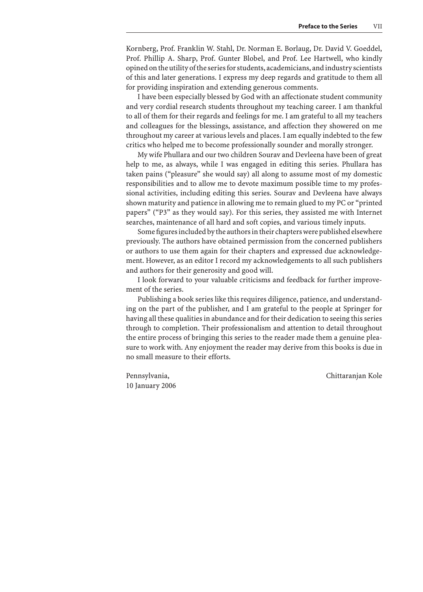Kornberg, Prof. Franklin W. Stahl, Dr. Norman E. Borlaug, Dr. David V. Goeddel, Prof. Phillip A. Sharp, Prof. Gunter Blobel, and Prof. Lee Hartwell, who kindly opined on the utility of the series for students, academicians, andindustry scientists of this and later generations. I express my deep regards and gratitude to them all for providing inspiration and extending generous comments.

I have been especially blessed by God with an affectionate student community and very cordial research students throughout my teaching career. I am thankful to all of them for their regards and feelings for me. I am grateful to all my teachers and colleagues for the blessings, assistance, and affection they showered on me throughout my career at various levels and places. I am equally indebted to the few critics who helped me to become professionally sounder and morally stronger.

My wife Phullara and our two children Sourav and Devleena have been of great help to me, as always, while I was engaged in editing this series. Phullara has taken pains ("pleasure" she would say) all along to assume most of my domestic responsibilities and to allow me to devote maximum possible time to my professional activities, including editing this series. Sourav and Devleena have always shown maturity and patience in allowing me to remain glued to my PC or "printed papers" ("P3" as they would say). For this series, they assisted me with Internet searches, maintenance of all hard and soft copies, and various timely inputs.

Some figures included by the authors in their chapters were published elsewhere previously. The authors have obtained permission from the concerned publishers or authors to use them again for their chapters and expressed due acknowledgement. However, as an editor I record my acknowledgements to all such publishers and authors for their generosity and good will.

I look forward to your valuable criticisms and feedback for further improvement of the series.

Publishing a book series like this requires diligence, patience, and understanding on the part of the publisher, and I am grateful to the people at Springer for having all these qualities in abundance and for their dedication to seeing this series through to completion. Their professionalism and attention to detail throughout the entire process of bringing this series to the reader made them a genuine pleasure to work with. Any enjoyment the reader may derive from this books is due in no small measure to their efforts.

10 January 2006

Pennsylvania, and a chittaranjan Kole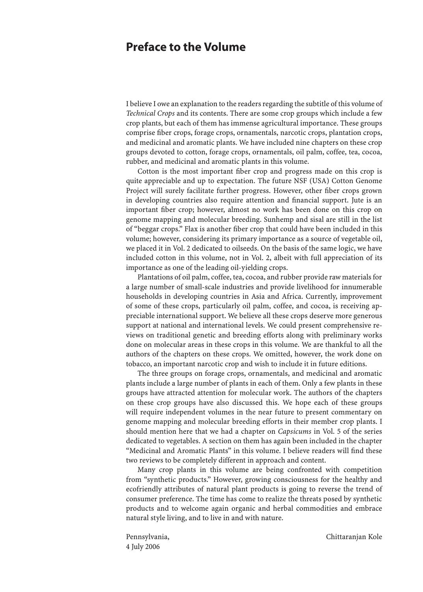## **Preface to the Volume**

I believe I owe an explanation to the readers regarding the subtitle of this volume of *Technical Crops* and its contents. There are some crop groups which include a few crop plants, but each of them has immense agricultural importance. These groups comprise fiber crops, forage crops, ornamentals, narcotic crops, plantation crops, and medicinal and aromatic plants. We have included nine chapters on these crop groups devoted to cotton, forage crops, ornamentals, oil palm, coffee, tea, cocoa, rubber, and medicinal and aromatic plants in this volume.

Cotton is the most important fiber crop and progress made on this crop is quite appreciable and up to expectation. The future NSF (USA) Cotton Genome Project will surely facilitate further progress. However, other fiber crops grown in developing countries also require attention and financial support. Jute is an important fiber crop; however, almost no work has been done on this crop on genome mapping and molecular breeding. Sunhemp and sisal are still in the list of "beggar crops." Flax is another fiber crop that could have been included in this volume; however, considering its primary importance as a source of vegetable oil, we placed it in Vol. 2 dedicated to oilseeds. On the basis of the same logic, we have included cotton in this volume, not in Vol. 2, albeit with full appreciation of its importance as one of the leading oil-yielding crops.

Plantations of oil palm, coffee, tea, cocoa, and rubber provide raw materials for a large number of small-scale industries and provide livelihood for innumerable households in developing countries in Asia and Africa. Currently, improvement of some of these crops, particularly oil palm, coffee, and cocoa, is receiving appreciable international support. We believe all these crops deserve more generous support at national and international levels. We could present comprehensive reviews on traditional genetic and breeding efforts along with preliminary works done on molecular areas in these crops in this volume. We are thankful to all the authors of the chapters on these crops. We omitted, however, the work done on tobacco, an important narcotic crop and wish to include it in future editions.

The three groups on forage crops, ornamentals, and medicinal and aromatic plants include a large number of plants in each of them. Only a few plants in these groups have attracted attention for molecular work. The authors of the chapters on these crop groups have also discussed this. We hope each of these groups will require independent volumes in the near future to present commentary on genome mapping and molecular breeding efforts in their member crop plants. I should mention here that we had a chapter on *Capsicums* in Vol. 5 of the series dedicated to vegetables. A section on them has again been included in the chapter "Medicinal and Aromatic Plants" in this volume. I believe readers will find these two reviews to be completely different in approach and content.

Many crop plants in this volume are being confronted with competition from "synthetic products." However, growing consciousness for the healthy and ecofriendly attributes of natural plant products is going to reverse the trend of consumer preference. The time has come to realize the threats posed by synthetic products and to welcome again organic and herbal commodities and embrace natural style living, and to live in and with nature.

4 July 2006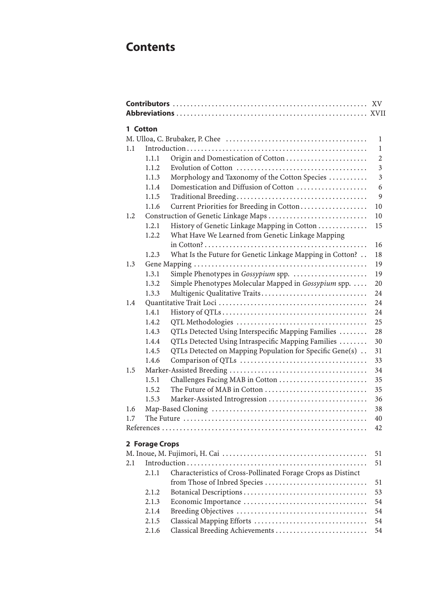# **Contents**

|     | 1 Cotton       |                                                              |                |
|-----|----------------|--------------------------------------------------------------|----------------|
|     |                |                                                              | 1              |
| 1.1 |                |                                                              | 1              |
|     | 1.1.1          | Origin and Domestication of Cotton                           | $\overline{2}$ |
|     | 1.1.2          |                                                              | 3              |
|     | 1.1.3          | Morphology and Taxonomy of the Cotton Species                | 3              |
|     | 1.1.4          | Domestication and Diffusion of Cotton                        | 6              |
|     | 1.1.5          |                                                              | 9              |
|     | 1.1.6          | Current Priorities for Breeding in Cotton                    | 10             |
| 1.2 |                | Construction of Genetic Linkage Maps                         | 10             |
|     | 1.2.1          | History of Genetic Linkage Mapping in Cotton                 | 15             |
|     | 1.2.2          | What Have We Learned from Genetic Linkage Mapping            |                |
|     |                |                                                              | 16             |
|     | 1.2.3          | What Is the Future for Genetic Linkage Mapping in Cotton?    | 18             |
| 1.3 |                |                                                              | 19             |
|     | 1.3.1          | Simple Phenotypes in Gossypium spp.                          | 19             |
|     | 1.3.2          | Simple Phenotypes Molecular Mapped in Gossypium spp.         | 20             |
|     | 1.3.3          | Multigenic Qualitative Traits                                | 24             |
| 1.4 |                |                                                              | 24             |
|     | 1.4.1          |                                                              | 24             |
|     | 1.4.2          |                                                              | 25             |
|     | 1.4.3          | QTLs Detected Using Interspecific Mapping Families           | 28             |
|     | 1.4.4          | QTLs Detected Using Intraspecific Mapping Families           | 30             |
|     | 1.4.5          | QTLs Detected on Mapping Population for Specific Gene(s)     | 31             |
|     | 1.4.6          |                                                              | 33             |
| 1.5 |                |                                                              | 34             |
|     | 1.5.1          | Challenges Facing MAB in Cotton                              | 35             |
|     | 1.5.2          | The Future of MAB in Cotton                                  | 35             |
|     | 1.5.3          | Marker-Assisted Introgression                                | 36             |
| 1.6 |                |                                                              | 38             |
| 1.7 |                |                                                              | 40             |
|     |                |                                                              | 42             |
|     |                |                                                              |                |
|     | 2 Forage Crops |                                                              |                |
|     |                |                                                              | 51             |
| 2.1 |                |                                                              | 51             |
|     | 2.1.1          | Characteristics of Cross-Pollinated Forage Crops as Distinct |                |
|     |                | from Those of Inbred Species                                 | 51             |
|     | 2.1.2          |                                                              | 53             |
|     | 2.1.3          |                                                              | 54             |
|     | 2.1.4          |                                                              | 54             |
|     | 2.1.5          | Classical Mapping Efforts                                    | 54             |
|     | 2.1.6          | Classical Breeding Achievements                              | 54             |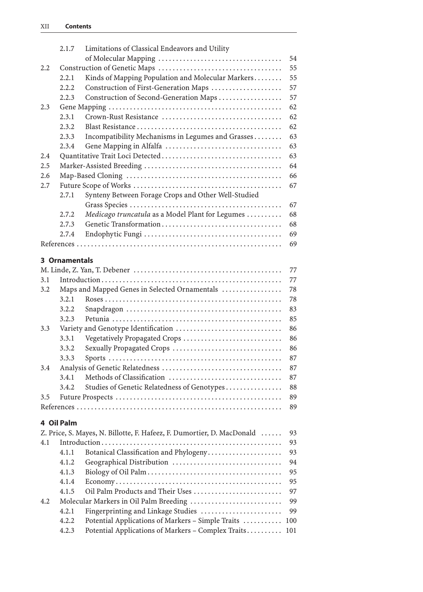|     | 2.1.7                | Limitations of Classical Endeavors and Utility                         |     |
|-----|----------------------|------------------------------------------------------------------------|-----|
|     |                      |                                                                        | 54  |
| 2.2 |                      |                                                                        | 55  |
|     | 2.2.1                | Kinds of Mapping Population and Molecular Markers                      | 55  |
|     | 2.2.2                | Construction of First-Generation Maps                                  | 57  |
|     | 2.2.3                | Construction of Second-Generation Maps                                 | 57  |
| 2.3 |                      |                                                                        | 62  |
|     | 2.3.1                |                                                                        | 62  |
|     | 2.3.2                |                                                                        | 62  |
|     | 2.3.3                | Incompatibility Mechanisms in Legumes and Grasses                      | 63  |
|     | 2.3.4                |                                                                        | 63  |
| 2.4 |                      |                                                                        | 63  |
| 2.5 |                      |                                                                        | 64  |
| 2.6 |                      |                                                                        | 66  |
| 2.7 |                      |                                                                        | 67  |
|     | 2.7.1                | Synteny Between Forage Crops and Other Well-Studied                    |     |
|     |                      |                                                                        | 67  |
|     |                      | Medicago truncatula as a Model Plant for Legumes                       | 68  |
|     | 2.7.2                |                                                                        |     |
|     | 2.7.3                |                                                                        | 68  |
|     | 2.7.4                |                                                                        | 69  |
|     |                      |                                                                        | 69  |
|     | <b>3 Ornamentals</b> |                                                                        |     |
|     |                      |                                                                        | 77  |
| 3.1 |                      |                                                                        | 77  |
| 3.2 |                      | Maps and Mapped Genes in Selected Ornamentals                          | 78  |
|     | 3.2.1                |                                                                        | 78  |
|     | 3.2.2                |                                                                        | 83  |
|     | 3.2.3                |                                                                        | 85  |
|     |                      |                                                                        |     |
| 3.3 | 3.3.1                |                                                                        | 86  |
|     |                      | Vegetatively Propagated Crops                                          | 86  |
|     | 3.3.2                | Sexually Propagated Crops                                              | 86  |
|     | 3.3.3                |                                                                        | 87  |
| 3.4 |                      |                                                                        | 87  |
|     | 3.4.1                |                                                                        | 87  |
|     | 3.4.2                | Studies of Genetic Relatedness of Genotypes                            | 88  |
| 3.5 |                      |                                                                        | 89  |
|     |                      |                                                                        | 89  |
|     | 4 Oil Palm           |                                                                        |     |
|     |                      | Z. Price, S. Mayes, N. Billotte, F. Hafeez, F. Dumortier, D. MacDonald | 93  |
| 4.1 |                      |                                                                        | 93  |
|     | 4.1.1                | Botanical Classification and Phylogeny                                 | 93  |
|     |                      |                                                                        |     |
|     | 4.1.2                | Geographical Distribution                                              | 94  |
|     | 4.1.3                |                                                                        | 95  |
|     | 4.1.4                |                                                                        | 95  |
|     | 4.1.5                | Oil Palm Products and Their Uses                                       | 97  |
| 4.2 |                      | Molecular Markers in Oil Palm Breeding                                 | 99  |
|     | 4.2.1                | Fingerprinting and Linkage Studies                                     | 99  |
|     | 4.2.2                | Potential Applications of Markers - Simple Traits                      | 100 |
|     | 4.2.3                | Potential Applications of Markers - Complex Traits                     | 101 |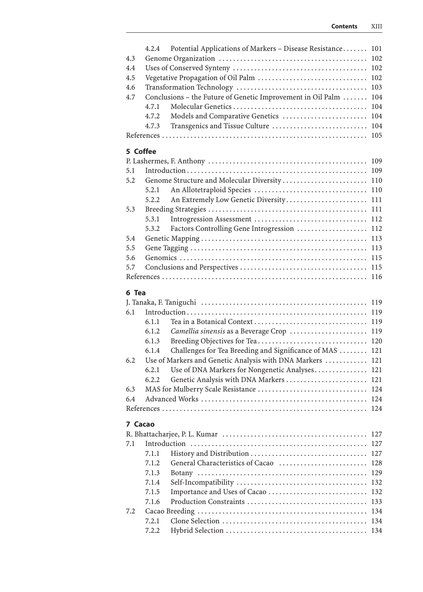|          | 4.2.4 | Potential Applications of Markers - Disease Resistance      | 101 |
|----------|-------|-------------------------------------------------------------|-----|
| 4.3      |       |                                                             | 102 |
| 4.4      |       |                                                             | 102 |
| 4.5      |       | Vegetative Propagation of Oil Palm                          | 102 |
| 4.6      |       |                                                             | 103 |
| 4.7      |       | Conclusions - the Future of Genetic Improvement in Oil Palm | 104 |
|          | 4.7.1 |                                                             | 104 |
|          | 4.7.2 | Models and Comparative Genetics                             | 104 |
|          | 4.7.3 | Transgenics and Tissue Culture                              | 104 |
|          |       |                                                             | 105 |
| 5 Coffee |       |                                                             |     |
|          |       |                                                             | 109 |
| 5.1      |       |                                                             | 109 |
| 5.2      |       | Genome Structure and Molecular Diversity                    | 110 |
|          | 5.2.1 |                                                             | 110 |
|          | 5.2.2 | An Extremely Low Genetic Diversity                          | 111 |
| 5.3      |       |                                                             | 111 |
|          | 5.3.1 |                                                             | 112 |
|          | 5.3.2 | Factors Controlling Gene Introgression                      | 112 |
| 5.4      |       |                                                             | 113 |
| 5.5      |       |                                                             | 113 |
| 5.6      |       |                                                             | 115 |
| 5.7      |       |                                                             |     |
|          |       |                                                             |     |
|          |       |                                                             |     |
| 6 Tea    |       |                                                             |     |
|          |       |                                                             | 119 |
| 6.1      |       |                                                             | 119 |
|          | 6.1.1 |                                                             | 119 |
|          | 6.1.2 | Camellia sinensis as a Beverage Crop                        | 119 |
|          | 6.1.3 |                                                             |     |
|          | 6.1.4 | Challenges for Tea Breeding and Significance of MAS  121    |     |
| 6.2      |       | Use of Markers and Genetic Analysis with DNA Markers  121   |     |
|          | 6.2.1 | Use of DNA Markers for Nongenetic Analyses 121              |     |
|          | 6.2.2 | Genetic Analysis with DNA Markers                           | 121 |
| 6.3      |       | MAS for Mulberry Scale Resistance  124                      |     |
| 6.4      |       |                                                             | 124 |
|          |       |                                                             | 124 |
| 7 Cacao  |       |                                                             |     |
|          |       |                                                             | 127 |
| 7.1      |       |                                                             | 127 |
|          | 7.1.1 |                                                             | 127 |
|          | 7.1.2 |                                                             | 128 |
|          | 7.1.3 |                                                             | 129 |
|          | 7.1.4 |                                                             | 132 |
|          | 7.1.5 | Importance and Uses of Cacao                                | 132 |
|          | 7.1.6 |                                                             | 133 |
| 7.2      |       |                                                             | 134 |
|          | 7.2.1 |                                                             | 134 |
|          | 7.2.2 |                                                             | 134 |
|          |       |                                                             |     |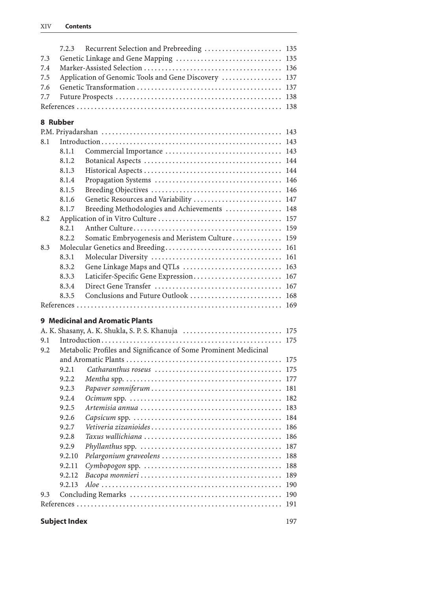|     | 7.2.3            | Recurrent Selection and Prebreeding  135                        |            |
|-----|------------------|-----------------------------------------------------------------|------------|
| 7.3 |                  |                                                                 | 135        |
| 7.4 |                  |                                                                 | 136        |
| 7.5 |                  | Application of Genomic Tools and Gene Discovery                 | 137        |
| 7.6 |                  |                                                                 | 137        |
| 7.7 |                  |                                                                 |            |
|     |                  |                                                                 | 138        |
|     | 8 Rubber         |                                                                 |            |
|     |                  |                                                                 | 143        |
| 8.1 |                  |                                                                 | 143        |
|     | 8.1.1            |                                                                 | 143        |
|     | 8.1.2            |                                                                 | 144        |
|     | 8.1.3            |                                                                 | 144        |
|     | 8.1.4            |                                                                 | 146        |
|     | 8.1.5            |                                                                 | 146        |
|     | 8.1.6            | Genetic Resources and Variability                               | 147        |
|     | 8.1.7            | Breeding Methodologies and Achievements                         | 148        |
| 8.2 |                  |                                                                 |            |
|     | 8.2.1            |                                                                 | 159        |
|     | 8.2.2            | Somatic Embryogenesis and Meristem Culture                      | 159        |
| 8.3 |                  |                                                                 | 161        |
|     | 8.3.1            |                                                                 | 161        |
|     | 8.3.2            | Gene Linkage Maps and QTLs                                      | 163        |
|     | 8.3.3            | Laticifer-Specific Gene Expression                              | 167        |
|     | 8.3.4            |                                                                 | 167        |
|     | 8.3.5            | Conclusions and Future Outlook                                  | 168        |
|     |                  |                                                                 | 169        |
|     |                  | <b>9 Medicinal and Aromatic Plants</b>                          |            |
|     |                  | A. K. Shasany, A. K. Shukla, S. P. S. Khanuja                   | 175        |
| 9.1 |                  |                                                                 | 175        |
| 9.2 |                  | Metabolic Profiles and Significance of Some Prominent Medicinal |            |
|     |                  |                                                                 | 175        |
|     | 9.2.1            |                                                                 |            |
|     | 9.2.2            |                                                                 |            |
|     | 9.2.3            |                                                                 | 181        |
|     | 9.2.4            |                                                                 | 182        |
|     | 9.2.5            |                                                                 | 183        |
|     | 9.2.6            |                                                                 | 184        |
|     | 9.2.7            |                                                                 | 186        |
|     | 9.2.8            |                                                                 | 186        |
|     | 9.2.9            |                                                                 | 187        |
|     |                  |                                                                 |            |
|     | 9.2.10           |                                                                 | 188        |
|     | 9.2.11           |                                                                 | 188        |
|     | 9.2.12<br>9.2.13 |                                                                 | 189        |
|     |                  |                                                                 | 190        |
| 9.3 |                  |                                                                 | 190<br>191 |
|     |                  |                                                                 |            |

#### **Subject Index** 197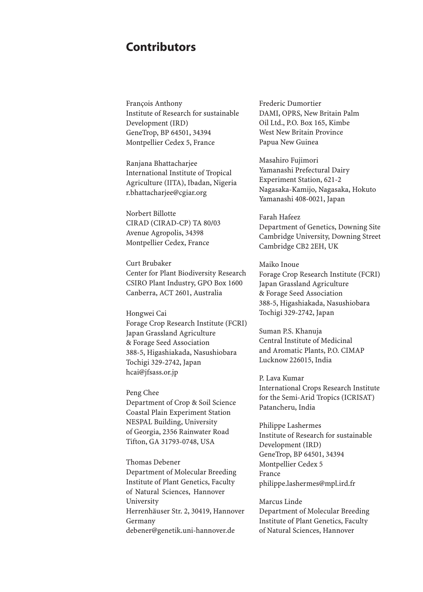## **Contributors**

François Anthony Institute of Research for sustainable Development (IRD) GeneTrop, BP 64501, 34394 Montpellier Cedex 5, France

Ranjana Bhattacharjee International Institute of Tropical Agriculture (IITA), Ibadan, Nigeria r.bhattacharjee@cgiar.org

Norbert Billotte CIRAD (CIRAD-CP) TA 80/03 Avenue Agropolis, 34398 Montpellier Cedex, France

Curt Brubaker Center for Plant Biodiversity Research CSIRO Plant Industry, GPO Box 1600 Canberra, ACT 2601, Australia

Hongwei Cai Forage Crop Research Institute (FCRI) Japan Grassland Agriculture & Forage Seed Association 388-5, Higashiakada, Nasushiobara Tochigi 329-2742, Japan hcai@jfsass.or.jp

Peng Chee Department of Crop & Soil Science Coastal Plain Experiment Station NESPAL Building, University of Georgia, 2356 Rainwater Road Tifton, GA 31793-0748, USA

Thomas Debener Department of Molecular Breeding Institute of Plant Genetics, Faculty of Natural Sciences, Hannover University Herrenhäuser Str. 2, 30419, Hannover Germany debener@genetik.uni-hannover.de

Frederic Dumortier DAMI, OPRS, New Britain Palm Oil Ltd., P.O. Box 165, Kimbe West New Britain Province Papua New Guinea

Masahiro Fujimori Yamanashi Prefectural Dairy Experiment Station, 621-2 Nagasaka-Kamijo, Nagasaka, Hokuto Yamanashi 408-0021, Japan

Farah Hafeez Department of Genetics, Downing Site Cambridge University, Downing Street Cambridge CB2 2EH, UK

Maiko Inoue Forage Crop Research Institute (FCRI) Japan Grassland Agriculture & Forage Seed Association 388-5, Higashiakada, Nasushiobara Tochigi 329-2742, Japan

Suman P.S. Khanuja Central Institute of Medicinal and Aromatic Plants, P.O. CIMAP Lucknow 226015, India

P. Lava Kumar International Crops Research Institute for the Semi-Arid Tropics (ICRISAT) Patancheru, India

Philippe Lashermes Institute of Research for sustainable Development (IRD) GeneTrop, BP 64501, 34394 Montpellier Cedex 5 France philippe.lashermes@mpl.ird.fr

Marcus Linde Department of Molecular Breeding Institute of Plant Genetics, Faculty of Natural Sciences, Hannover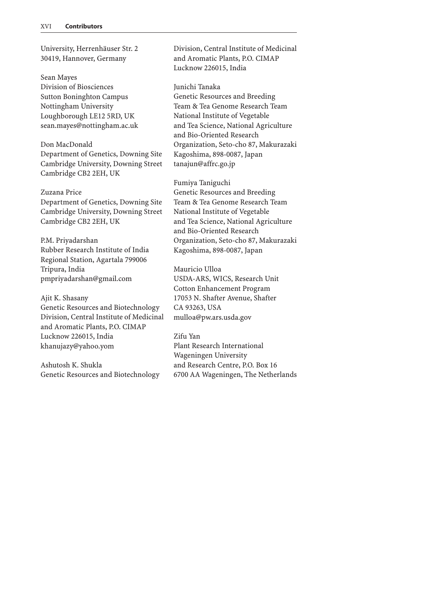University, Herrenhäuser Str. 2 30419, Hannover, Germany

Sean Mayes Division of Biosciences Sutton Boninghton Campus Nottingham University Loughborough LE12 5RD, UK sean.mayes@nottingham.ac.uk

Don MacDonald Department of Genetics, Downing Site Cambridge University, Downing Street Cambridge CB2 2EH, UK

#### Zuzana Price

Department of Genetics, Downing Site Cambridge University, Downing Street Cambridge CB2 2EH, UK

P.M. Priyadarshan Rubber Research Institute of India Regional Station, Agartala 799006 Tripura, India pmpriyadarshan@gmail.com

Ajit K. Shasany Genetic Resources and Biotechnology Division, Central Institute of Medicinal and Aromatic Plants, P.O. CIMAP Lucknow 226015, India khanujazy@yahoo.yom

Ashutosh K. Shukla Genetic Resources and Biotechnology Division, Central Institute of Medicinal and Aromatic Plants, P.O. CIMAP Lucknow 226015, India

Junichi Tanaka Genetic Resources and Breeding Team & Tea Genome Research Team National Institute of Vegetable and Tea Science, National Agriculture and Bio-Oriented Research Organization, Seto-cho 87, Makurazaki Kagoshima, 898-0087, Japan tanajun@affrc.go.jp

Fumiya Taniguchi Genetic Resources and Breeding Team & Tea Genome Research Team National Institute of Vegetable and Tea Science, National Agriculture and Bio-Oriented Research Organization, Seto-cho 87, Makurazaki Kagoshima, 898-0087, Japan

Mauricio Ulloa USDA-ARS, WICS, Research Unit Cotton Enhancement Program 17053 N. Shafter Avenue, Shafter CA 93263, USA mulloa@pw.ars.usda.gov

Zifu Yan Plant Research International Wageningen University and Research Centre, P.O. Box 16 6700 AA Wageningen, The Netherlands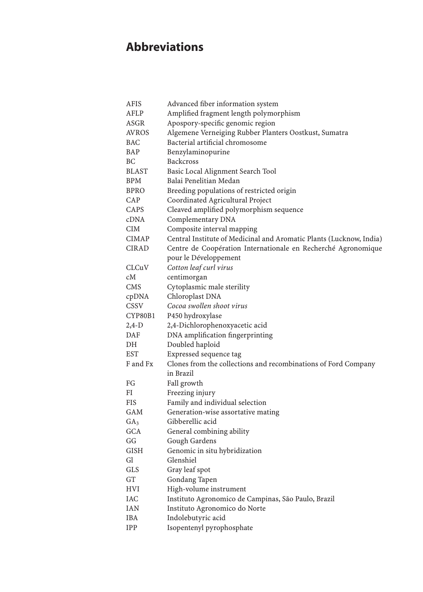# **Abbreviations**

| <b>AFIS</b>     | Advanced fiber information system                                   |
|-----------------|---------------------------------------------------------------------|
| AFLP            | Amplified fragment length polymorphism                              |
| ASGR            | Apospory-specific genomic region                                    |
| <b>AVROS</b>    | Algemene Verneiging Rubber Planters Oostkust, Sumatra               |
| <b>BAC</b>      | Bacterial artificial chromosome                                     |
| BAP             | Benzylaminopurine                                                   |
| BC              | Backcross                                                           |
| <b>BLAST</b>    | Basic Local Alignment Search Tool                                   |
| <b>BPM</b>      | Balai Penelitian Medan                                              |
| <b>BPRO</b>     | Breeding populations of restricted origin                           |
| CAP             | Coordinated Agricultural Project                                    |
| <b>CAPS</b>     | Cleaved amplified polymorphism sequence                             |
| cDNA            | Complementary DNA                                                   |
| <b>CIM</b>      | Composite interval mapping                                          |
| <b>CIMAP</b>    | Central Institute of Medicinal and Aromatic Plants (Lucknow, India) |
| <b>CIRAD</b>    | Centre de Coopération Internationale en Recherché Agronomique       |
|                 | pour le Développement                                               |
| CLCuV           | Cotton leaf curl virus                                              |
| сM              | centimorgan                                                         |
| <b>CMS</b>      | Cytoplasmic male sterility                                          |
| cpDNA           | Chloroplast DNA                                                     |
| <b>CSSV</b>     | Cocoa swollen shoot virus                                           |
| CYP80B1         | P450 hydroxylase                                                    |
| $2,4-D$         | 2,4-Dichlorophenoxyacetic acid                                      |
| DAF             | DNA amplification fingerprinting                                    |
| DH              | Doubled haploid                                                     |
| <b>EST</b>      | Expressed sequence tag                                              |
| F and Fx        | Clones from the collections and recombinations of Ford Company      |
|                 | in Brazil                                                           |
| FG              | Fall growth                                                         |
| FI              | Freezing injury                                                     |
| <b>FIS</b>      | Family and individual selection                                     |
| <b>GAM</b>      | Generation-wise assortative mating                                  |
| GA <sub>3</sub> | Gibberellic acid                                                    |
| <b>GCA</b>      | General combining ability                                           |
| GG              | Gough Gardens                                                       |
| <b>GISH</b>     | Genomic in situ hybridization                                       |
| Gl              | Glenshiel                                                           |
| <b>GLS</b>      | Gray leaf spot                                                      |
| GT              | Gondang Tapen                                                       |
| HVI             | High-volume instrument                                              |
| IAC             | Instituto Agronomico de Campinas, São Paulo, Brazil                 |
| IAN             | Instituto Agronomico do Norte                                       |
| IBA             | Indolebutyric acid                                                  |
| IPP             | Isopentenyl pyrophosphate                                           |
|                 |                                                                     |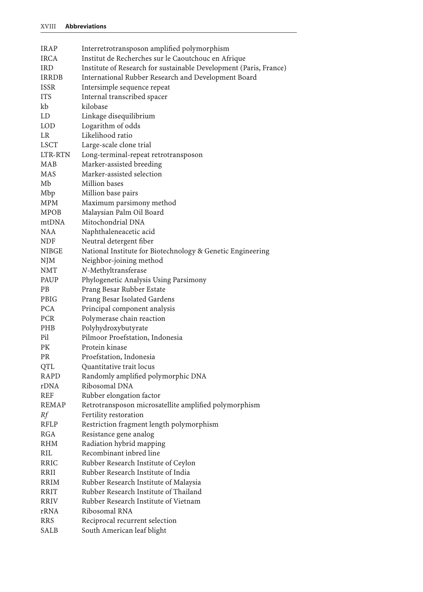| IRAP         | Interretrotransposon amplified polymorphism                       |
|--------------|-------------------------------------------------------------------|
| <b>IRCA</b>  | Institut de Recherches sur le Caoutchouc en Afrique               |
| <b>IRD</b>   | Institute of Research for sustainable Development (Paris, France) |
| <b>IRRDB</b> | International Rubber Research and Development Board               |
| <b>ISSR</b>  | Intersimple sequence repeat                                       |
| <b>ITS</b>   | Internal transcribed spacer                                       |
| kb           | kilobase                                                          |
| LD           | Linkage disequilibrium                                            |
| <b>LOD</b>   | Logarithm of odds                                                 |
| <b>LR</b>    | Likelihood ratio                                                  |
| <b>LSCT</b>  | Large-scale clone trial                                           |
| LTR-RTN      | Long-terminal-repeat retrotransposon                              |
| MAB          | Marker-assisted breeding                                          |
| MAS          | Marker-assisted selection                                         |
| Mb           | Million bases                                                     |
| Mbp          | Million base pairs                                                |
| <b>MPM</b>   | Maximum parsimony method                                          |
| <b>MPOB</b>  | Malaysian Palm Oil Board                                          |
| mtDNA        | Mitochondrial DNA                                                 |
| <b>NAA</b>   | Naphthaleneacetic acid                                            |
| NDF          | Neutral detergent fiber                                           |
| <b>NIBGE</b> | National Institute for Biotechnology & Genetic Engineering        |
|              |                                                                   |
| NJM          | Neighbor-joining method                                           |
| <b>NMT</b>   | N-Methyltransferase                                               |
| PAUP         | Phylogenetic Analysis Using Parsimony                             |
| PB           | Prang Besar Rubber Estate                                         |
| PBIG         | Prang Besar Isolated Gardens                                      |
| <b>PCA</b>   | Principal component analysis                                      |
| <b>PCR</b>   | Polymerase chain reaction                                         |
| PHB          | Polyhydroxybutyrate                                               |
| Pil          | Pilmoor Proefstation, Indonesia                                   |
| PК           | Protein kinase                                                    |
| <b>PR</b>    | Proefstation, Indonesia                                           |
| QTL          | Quantitative trait locus                                          |
| RAPD         | Randomly amplified polymorphic DNA                                |
| rDNA         | Ribosomal DNA                                                     |
| <b>REF</b>   | Rubber elongation factor                                          |
| <b>REMAP</b> | Retrotransposon microsatellite amplified polymorphism             |
| Rf           | Fertility restoration                                             |
| <b>RFLP</b>  | Restriction fragment length polymorphism                          |
| <b>RGA</b>   | Resistance gene analog                                            |
| <b>RHM</b>   | Radiation hybrid mapping                                          |
| <b>RIL</b>   | Recombinant inbred line                                           |
| <b>RRIC</b>  | Rubber Research Institute of Ceylon                               |
| RRII         | Rubber Research Institute of India                                |
| <b>RRIM</b>  | Rubber Research Institute of Malaysia                             |
| RRIT         | Rubber Research Institute of Thailand                             |
| <b>RRIV</b>  | Rubber Research Institute of Vietnam                              |
| rRNA         | Ribosomal RNA                                                     |
| <b>RRS</b>   | Reciprocal recurrent selection                                    |
| SALB         | South American leaf blight                                        |
|              |                                                                   |